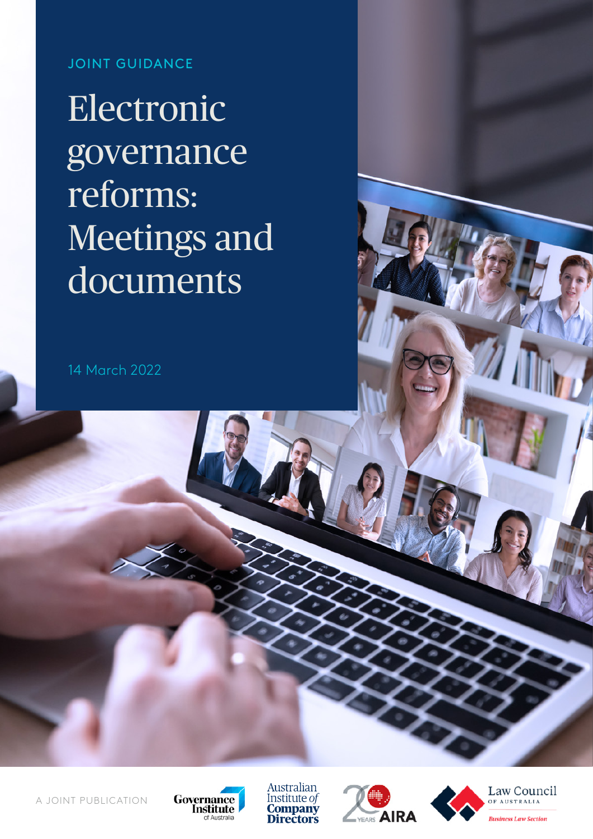JOINT GUIDANCE

**Electronic** governance reforms: Meetings and documents

14 March 2022









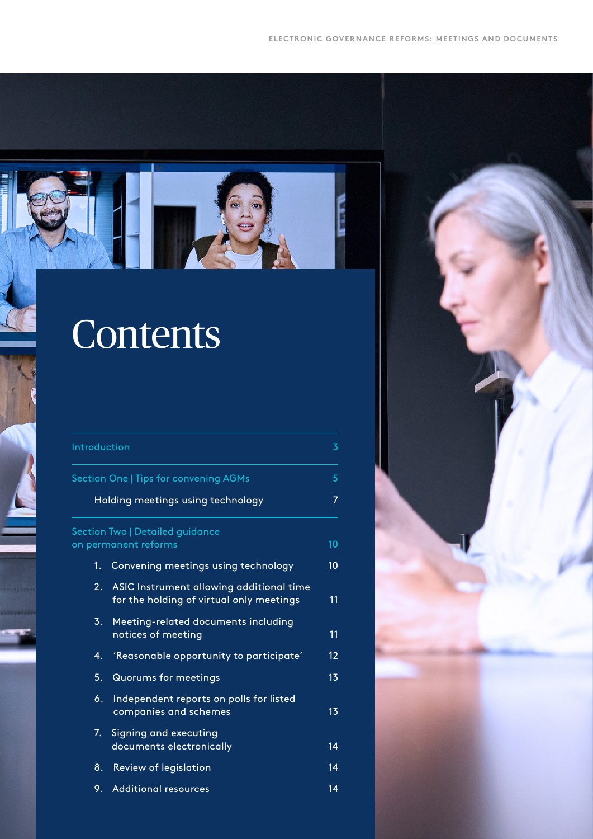

# **Contents**

| Introduction                                                                      |                                                                                      | 3  |
|-----------------------------------------------------------------------------------|--------------------------------------------------------------------------------------|----|
| <b>Section One   Tips for convening AGMs</b><br>Holding meetings using technology |                                                                                      | 5  |
|                                                                                   |                                                                                      | 7  |
| Section Two   Detailed guidance<br>on permanent reforms                           |                                                                                      | 10 |
| 1.                                                                                | Convening meetings using technology                                                  | 10 |
| $\overline{2}$ .                                                                  | ASIC Instrument allowing additional time<br>for the holding of virtual only meetings | 11 |
| 3.                                                                                | Meeting-related documents including<br>notices of meeting                            | 11 |
| 4.                                                                                | 'Reasonable opportunity to participate'                                              | 12 |
| 5.                                                                                | <b>Quorums for meetings</b>                                                          | 13 |
| 6.                                                                                | Independent reports on polls for listed<br>companies and schemes                     | 13 |
| 7.                                                                                | Signing and executing<br>documents electronically                                    | 14 |
| 8.                                                                                | <b>Review of legislation</b>                                                         | 14 |
| 9.                                                                                | <b>Additional resources</b>                                                          | 14 |

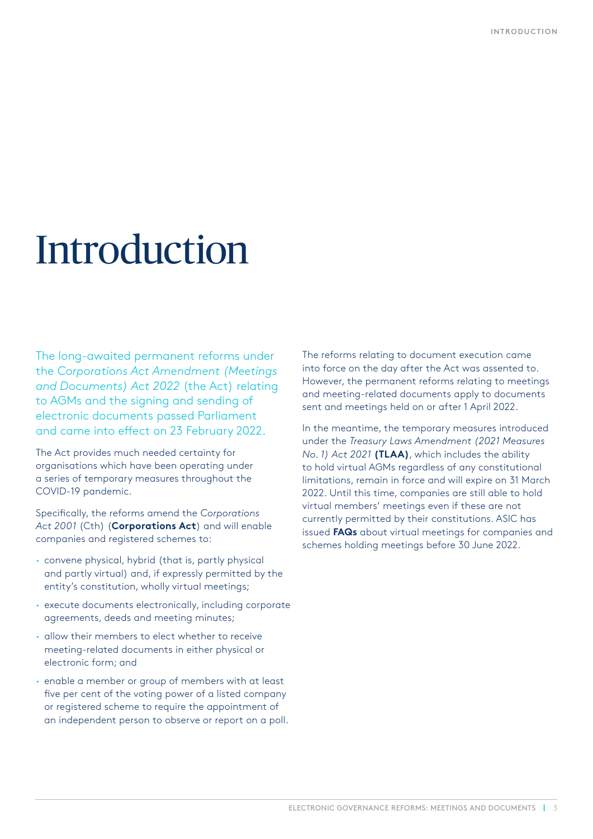# <span id="page-2-0"></span>Introduction

The long-awaited permanent reforms under the *Corporations Act Amendment (Meetings and Documents) Act 2022* (the Act) relating to AGMs and the signing and sending of electronic documents passed Parliament and came into effect on 23 February 2022.

The Act provides much needed certainty for organisations which have been operating under a series of temporary measures throughout the COVID-19 pandemic.

Specifically, the reforms amend the *Corporations Act 2001* (Cth) (**Corporations Act**) and will enable companies and registered schemes to:

- **·** convene physical, hybrid (that is, partly physical and partly virtual) and, if expressly permitted by the entity's constitution, wholly virtual meetings;
- **·** execute documents electronically, including corporate agreements, deeds and meeting minutes;
- **·** allow their members to elect whether to receive meeting-related documents in either physical or electronic form; and
- **·** enable a member or group of members with at least five per cent of the voting power of a listed company or registered scheme to require the appointment of an independent person to observe or report on a poll.

The reforms relating to document execution came into force on the day after the Act was assented to. However, the permanent reforms relating to meetings and meeting-related documents apply to documents sent and meetings held on or after 1 April 2022.

In the meantime, the temporary measures introduced under the *Treasury Laws Amendment [\(2021 Measures](https://www.aph.gov.au/Parliamentary_Business/Bills_Legislation/Bills_Search_Results/Result?bId=r6674)  [No. 1\) Act 2021](https://www.aph.gov.au/Parliamentary_Business/Bills_Legislation/Bills_Search_Results/Result?bId=r6674)* **(TLAA)**, which includes the ability to hold virtual AGMs regardless of any constitutional limitations, remain in force and will expire on 31 March 2022. Until this time, companies are still able to hold virtual members' meetings even if these are not currently permitted by their constitutions. ASIC has issued **[FAQs](https://asic.gov.au/regulatory-resources/corporate-governance/shareholder-engagement/faqs-virtual-meetings-for-companies-and-registered-schemes-held-between-1-april-and-30-june-2022/)** about virtual meetings for companies and schemes holding meetings before 30 June 2022.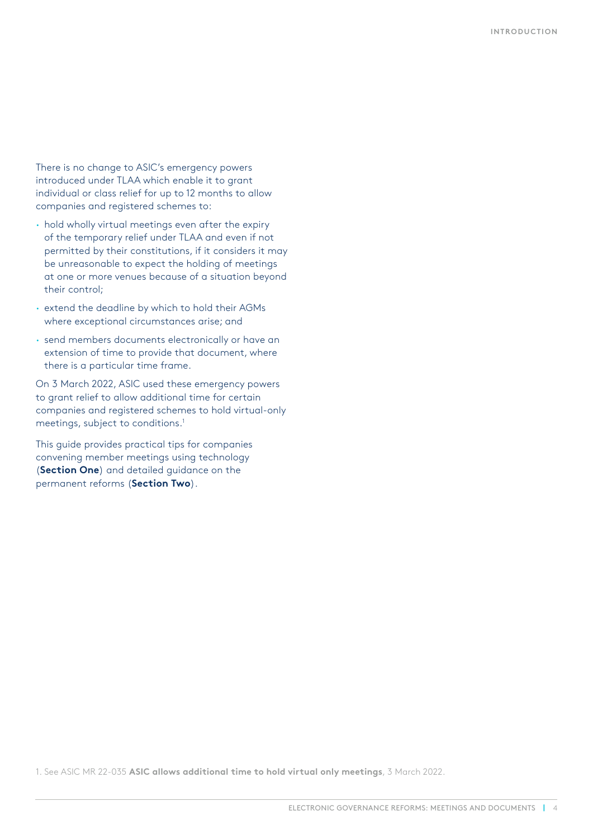There is no change to ASIC's emergency powers introduced under TLAA which enable it to grant individual or class relief for up to 12 months to allow companies and registered schemes to:

- **·** hold wholly virtual meetings even after the expiry of the temporary relief under TLAA and even if not permitted by their constitutions, if it considers it may be unreasonable to expect the holding of meetings at one or more venues because of a situation beyond their control;
- **·** extend the deadline by which to hold their AGMs where exceptional circumstances arise; and
- **·** send members documents electronically or have an extension of time to provide that document, where there is a particular time frame.

On 3 March 2022, ASIC used these emergency powers to grant relief to allow additional time for certain companies and registered schemes to hold virtual-only meetings, subject to conditions.1

This guide provides practical tips for companies convening member meetings using technology (**[Section One](file://NSW-FS01/Working%20files/2022%20Log%20%26%20Artwork/08288-08399/08299-ADV-Advocacy-Reports-2022/2-Permanent%20reforms%20enable%20virtual%20AGMs%20guide/1-Guide/Brief/#_Section_One_-)**) and detailed guidance on the permanent reforms (**[Section Two](file://NSW-FS01/Working%20files/2022%20Log%20%26%20Artwork/08288-08399/08299-ADV-Advocacy-Reports-2022/2-Permanent%20reforms%20enable%20virtual%20AGMs%20guide/1-Guide/Brief/#_Section_Two_-)**).

1. See ASIC MR 22-035 **[ASIC allows additional time to hold virtual only meetings](https://asic.gov.au/about-asic/news-centre/find-a-media-release/2022-releases/22-035mr-asic-allows-additional-time-for-holding-virtual-only-meetings/)**, 3 March 2022.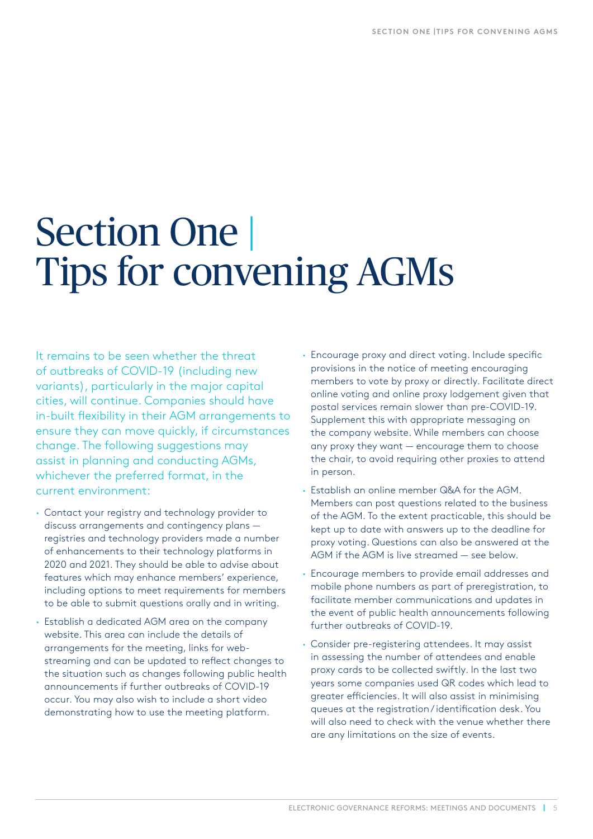## <span id="page-4-0"></span>Section One | Tips for convening AGMs

It remains to be seen whether the threat of outbreaks of COVID-19 (including new variants), particularly in the major capital cities, will continue. Companies should have in-built flexibility in their AGM arrangements to ensure they can move quickly, if circumstances change. The following suggestions may assist in planning and conducting AGMs, whichever the preferred format, in the current environment:

- **·** Contact your registry and technology provider to discuss arrangements and contingency plans registries and technology providers made a number of enhancements to their technology platforms in 2020 and 2021. They should be able to advise about features which may enhance members' experience, including options to meet requirements for members to be able to submit questions orally and in writing.
- **·** Establish a dedicated AGM area on the company website. This area can include the details of arrangements for the meeting, links for webstreaming and can be updated to reflect changes to the situation such as changes following public health announcements if further outbreaks of COVID-19 occur. You may also wish to include a short video demonstrating how to use the meeting platform.
- **·** Encourage proxy and direct voting. Include specific provisions in the notice of meeting encouraging members to vote by proxy or directly. Facilitate direct online voting and online proxy lodgement given that postal services remain slower than pre-COVID-19. Supplement this with appropriate messaging on the company website. While members can choose any proxy they want — encourage them to choose the chair, to avoid requiring other proxies to attend in person.
- **·** Establish an online member Q&A for the AGM. Members can post questions related to the business of the AGM. To the extent practicable, this should be kept up to date with answers up to the deadline for proxy voting. Questions can also be answered at the AGM if the AGM is live streamed — see below.
- **·** Encourage members to provide email addresses and mobile phone numbers as part of preregistration, to facilitate member communications and updates in the event of public health announcements following further outbreaks of COVID-19.
- **·** Consider pre-registering attendees. It may assist in assessing the number of attendees and enable proxy cards to be collected swiftly. In the last two years some companies used QR codes which lead to greater efficiencies. It will also assist in minimising queues at the registration / identification desk. You will also need to check with the venue whether there are any limitations on the size of events.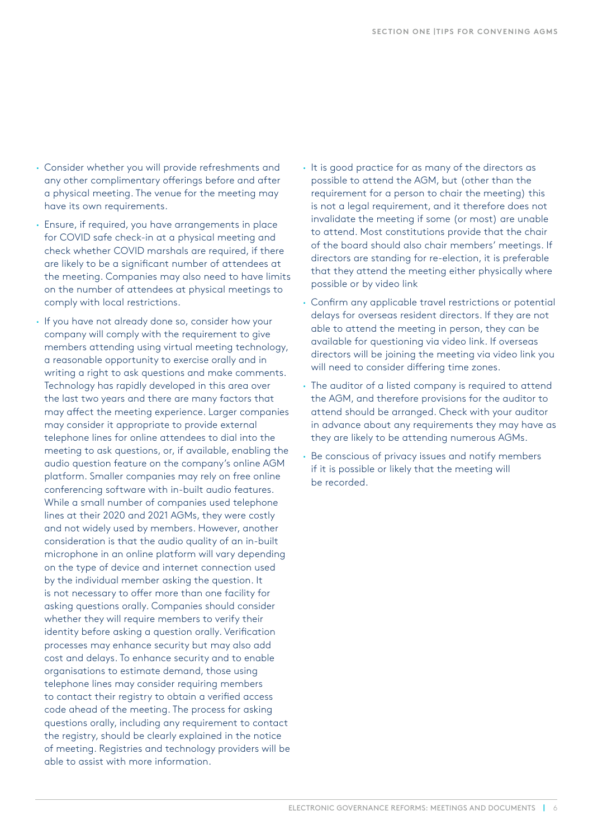- **·** Consider whether you will provide refreshments and any other complimentary offerings before and after a physical meeting. The venue for the meeting may have its own requirements.
- **·** Ensure, if required, you have arrangements in place for COVID safe check-in at a physical meeting and check whether COVID marshals are required, if there are likely to be a significant number of attendees at the meeting. Companies may also need to have limits on the number of attendees at physical meetings to comply with local restrictions.
- **·** If you have not already done so, consider how your company will comply with the requirement to give members attending using virtual meeting technology, a reasonable opportunity to exercise orally and in writing a right to ask questions and make comments. Technology has rapidly developed in this area over the last two years and there are many factors that may affect the meeting experience. Larger companies may consider it appropriate to provide external telephone lines for online attendees to dial into the meeting to ask questions, or, if available, enabling the audio question feature on the company's online AGM platform. Smaller companies may rely on free online conferencing software with in-built audio features. While a small number of companies used telephone lines at their 2020 and 2021 AGMs, they were costly and not widely used by members. However, another consideration is that the audio quality of an in-built microphone in an online platform will vary depending on the type of device and internet connection used by the individual member asking the question. It is not necessary to offer more than one facility for asking questions orally. Companies should consider whether they will require members to verify their identity before asking a question orally. Verification processes may enhance security but may also add cost and delays. To enhance security and to enable organisations to estimate demand, those using telephone lines may consider requiring members to contact their registry to obtain a verified access code ahead of the meeting. The process for asking questions orally, including any requirement to contact the registry, should be clearly explained in the notice of meeting. Registries and technology providers will be able to assist with more information.
- **·** It is good practice for as many of the directors as possible to attend the AGM, but (other than the requirement for a person to chair the meeting) this is not a legal requirement, and it therefore does not invalidate the meeting if some (or most) are unable to attend. Most constitutions provide that the chair of the board should also chair members' meetings. If directors are standing for re-election, it is preferable that they attend the meeting either physically where possible or by video link
- **·** Confirm any applicable travel restrictions or potential delays for overseas resident directors. If they are not able to attend the meeting in person, they can be available for questioning via video link. If overseas directors will be joining the meeting via video link you will need to consider differing time zones.
- **·** The auditor of a listed company is required to attend the AGM, and therefore provisions for the auditor to attend should be arranged. Check with your auditor in advance about any requirements they may have as they are likely to be attending numerous AGMs.
- **·** Be conscious of privacy issues and notify members if it is possible or likely that the meeting will be recorded.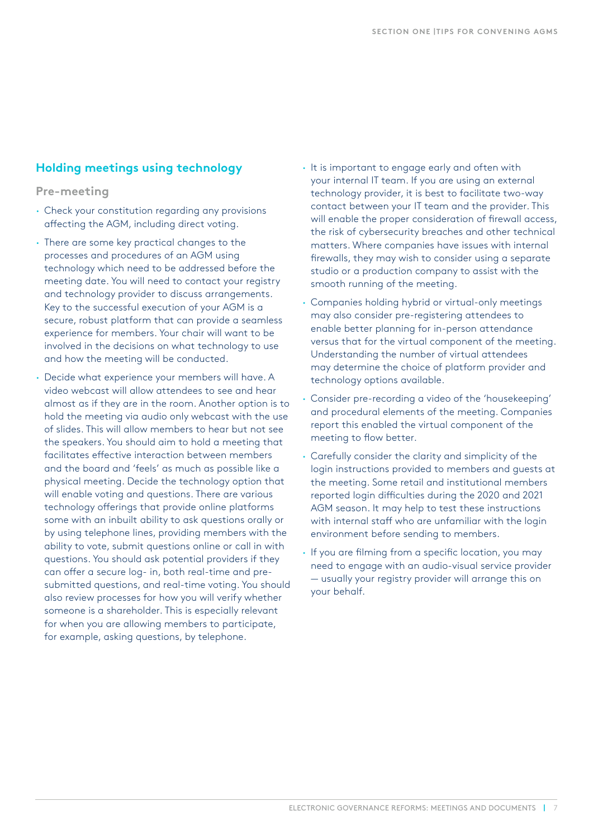## <span id="page-6-0"></span>**Holding meetings using technology**

### **Pre-meeting**

- **·** Check your constitution regarding any provisions affecting the AGM, including direct voting.
- **·** There are some key practical changes to the processes and procedures of an AGM using technology which need to be addressed before the meeting date. You will need to contact your registry and technology provider to discuss arrangements. Key to the successful execution of your AGM is a secure, robust platform that can provide a seamless experience for members. Your chair will want to be involved in the decisions on what technology to use and how the meeting will be conducted.
- **·** Decide what experience your members will have. A video webcast will allow attendees to see and hear almost as if they are in the room. Another option is to hold the meeting via audio only webcast with the use of slides. This will allow members to hear but not see the speakers. You should aim to hold a meeting that facilitates effective interaction between members and the board and 'feels' as much as possible like a physical meeting. Decide the technology option that will enable voting and questions. There are various technology offerings that provide online platforms some with an inbuilt ability to ask questions orally or by using telephone lines, providing members with the ability to vote, submit questions online or call in with questions. You should ask potential providers if they can offer a secure log- in, both real-time and presubmitted questions, and real-time voting. You should also review processes for how you will verify whether someone is a shareholder. This is especially relevant for when you are allowing members to participate, for example, asking questions, by telephone.
- **·** It is important to engage early and often with your internal IT team. If you are using an external technology provider, it is best to facilitate two-way contact between your IT team and the provider. This will enable the proper consideration of firewall access, the risk of cybersecurity breaches and other technical matters. Where companies have issues with internal firewalls, they may wish to consider using a separate studio or a production company to assist with the smooth running of the meeting.
- **·** Companies holding hybrid or virtual-only meetings may also consider pre-registering attendees to enable better planning for in-person attendance versus that for the virtual component of the meeting. Understanding the number of virtual attendees may determine the choice of platform provider and technology options available.
- **·** Consider pre-recording a video of the 'housekeeping' and procedural elements of the meeting. Companies report this enabled the virtual component of the meeting to flow better.
- **·** Carefully consider the clarity and simplicity of the login instructions provided to members and guests at the meeting. Some retail and institutional members reported login difficulties during the 2020 and 2021 AGM season. It may help to test these instructions with internal staff who are unfamiliar with the login environment before sending to members.
- **·** If you are filming from a specific location, you may need to engage with an audio-visual service provider — usually your registry provider will arrange this on your behalf.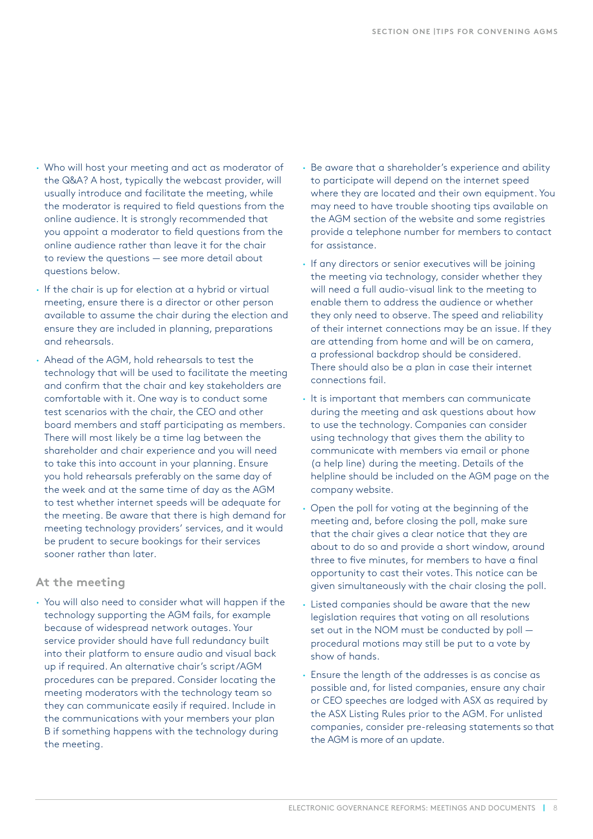- **·** Who will host your meeting and act as moderator of the Q&A? A host, typically the webcast provider, will usually introduce and facilitate the meeting, while the moderator is required to field questions from the online audience. It is strongly recommended that you appoint a moderator to field questions from the online audience rather than leave it for the chair to review the questions — see more detail about questions below.
- **·** If the chair is up for election at a hybrid or virtual meeting, ensure there is a director or other person available to assume the chair during the election and ensure they are included in planning, preparations and rehearsals.
- **·** Ahead of the AGM, hold rehearsals to test the technology that will be used to facilitate the meeting and confirm that the chair and key stakeholders are comfortable with it. One way is to conduct some test scenarios with the chair, the CEO and other board members and staff participating as members. There will most likely be a time lag between the shareholder and chair experience and you will need to take this into account in your planning. Ensure you hold rehearsals preferably on the same day of the week and at the same time of day as the AGM to test whether internet speeds will be adequate for the meeting. Be aware that there is high demand for meeting technology providers' services, and it would be prudent to secure bookings for their services sooner rather than later.

#### **At the meeting**

**·** You will also need to consider what will happen if the technology supporting the AGM fails, for example because of widespread network outages. Your service provider should have full redundancy built into their platform to ensure audio and visual back up if required. An alternative chair's script/AGM procedures can be prepared. Consider locating the meeting moderators with the technology team so they can communicate easily if required. Include in the communications with your members your plan B if something happens with the technology during the meeting.

- **·** Be aware that a shareholder's experience and ability to participate will depend on the internet speed where they are located and their own equipment. You may need to have trouble shooting tips available on the AGM section of the website and some registries provide a telephone number for members to contact for assistance.
- **·** If any directors or senior executives will be joining the meeting via technology, consider whether they will need a full audio-visual link to the meeting to enable them to address the audience or whether they only need to observe. The speed and reliability of their internet connections may be an issue. If they are attending from home and will be on camera, a professional backdrop should be considered. There should also be a plan in case their internet connections fail.
- **·** It is important that members can communicate during the meeting and ask questions about how to use the technology. Companies can consider using technology that gives them the ability to communicate with members via email or phone (a help line) during the meeting. Details of the helpline should be included on the AGM page on the company website.
- **·** Open the poll for voting at the beginning of the meeting and, before closing the poll, make sure that the chair gives a clear notice that they are about to do so and provide a short window, around three to five minutes, for members to have a final opportunity to cast their votes. This notice can be given simultaneously with the chair closing the poll.
- **·** Listed companies should be aware that the new legislation requires that voting on all resolutions set out in the NOM must be conducted by poll procedural motions may still be put to a vote by show of hands.
- **·** Ensure the length of the addresses is as concise as possible and, for listed companies, ensure any chair or CEO speeches are lodged with ASX as required by the ASX Listing Rules prior to the AGM. For unlisted companies, consider pre-releasing statements so that the AGM is more of an update.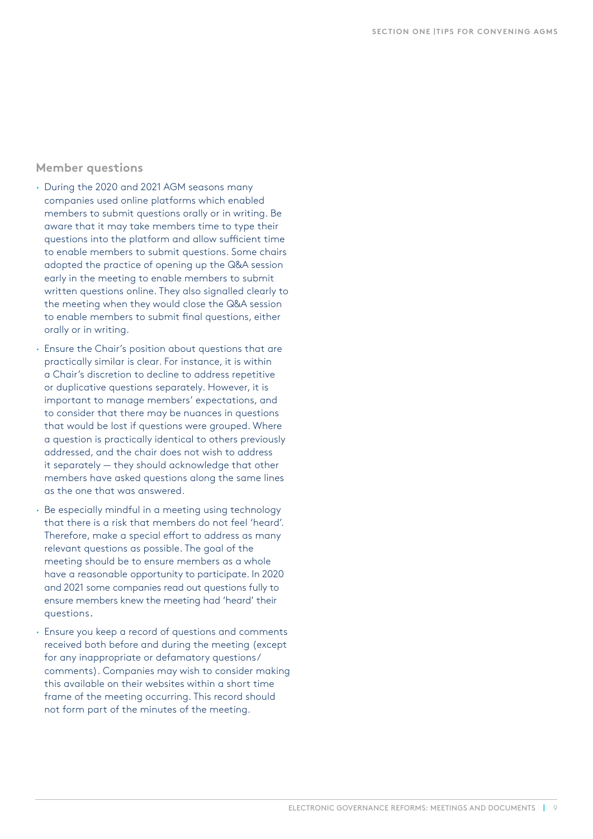#### **Member questions**

- **·** During the 2020 and 2021 AGM seasons many companies used online platforms which enabled members to submit questions orally or in writing. Be aware that it may take members time to type their questions into the platform and allow sufficient time to enable members to submit questions. Some chairs adopted the practice of opening up the Q&A session early in the meeting to enable members to submit written questions online. They also signalled clearly to the meeting when they would close the Q&A session to enable members to submit final questions, either orally or in writing.
- **·** Ensure the Chair's position about questions that are practically similar is clear. For instance, it is within a Chair's discretion to decline to address repetitive or duplicative questions separately. However, it is important to manage members' expectations, and to consider that there may be nuances in questions that would be lost if questions were grouped. Where a question is practically identical to others previously addressed, and the chair does not wish to address it separately — they should acknowledge that other members have asked questions along the same lines as the one that was answered.
- **·** Be especially mindful in a meeting using technology that there is a risk that members do not feel 'heard'. Therefore, make a special effort to address as many relevant questions as possible. The goal of the meeting should be to ensure members as a whole have a reasonable opportunity to participate. In 2020 and 2021 some companies read out questions fully to ensure members knew the meeting had 'heard' their questions.
- **·** Ensure you keep a record of questions and comments received both before and during the meeting (except for any inappropriate or defamatory questions/ comments). Companies may wish to consider making this available on their websites within a short time frame of the meeting occurring. This record should not form part of the minutes of the meeting.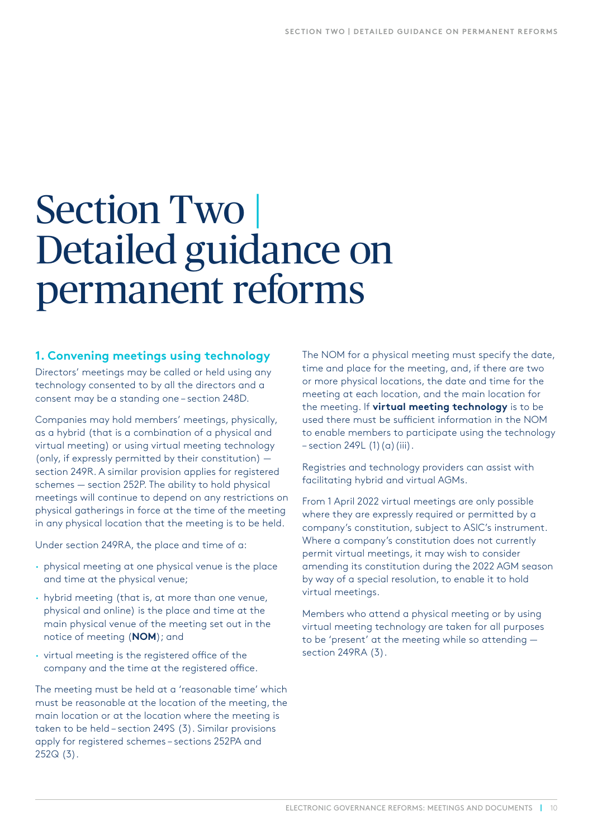## <span id="page-9-0"></span>Section Two | Detailed guidance on permanent reforms

## **1. Convening meetings using technology**

Directors' meetings may be called or held using any technology consented to by all the directors and a consent may be a standing one – section 248D.

Companies may hold members' meetings, physically, as a hybrid (that is a combination of a physical and virtual meeting) or using virtual meeting technology (only, if expressly permitted by their constitution) section 249R. A similar provision applies for registered schemes — section 252P. The ability to hold physical meetings will continue to depend on any restrictions on physical gatherings in force at the time of the meeting in any physical location that the meeting is to be held.

Under section 249RA, the place and time of a:

- **·** physical meeting at one physical venue is the place and time at the physical venue;
- **·** hybrid meeting (that is, at more than one venue, physical and online) is the place and time at the main physical venue of the meeting set out in the notice of meeting (**NOM**); and
- **·** virtual meeting is the registered office of the company and the time at the registered office.

The meeting must be held at a 'reasonable time' which must be reasonable at the location of the meeting, the main location or at the location where the meeting is taken to be held – section 249S (3). Similar provisions apply for registered schemes – sections 252PA and 252Q (3).

The NOM for a physical meeting must specify the date, time and place for the meeting, and, if there are two or more physical locations, the date and time for the meeting at each location, and the main location for the meeting. If **[virtual meeting technology](http://www5.austlii.edu.au/au/legis/cth/consol_act/ca2001172/s9.html#virtual_meeting_technology)** is to be used there must be sufficient information in the NOM to enable members to participate using the technology  $-$  section 249L (1)(a)(iii).

Registries and technology providers can assist with facilitating hybrid and virtual AGMs.

From 1 April 2022 virtual meetings are only possible where they are expressly required or permitted by a company's constitution, subject to ASIC's instrument. Where a company's constitution does not currently permit virtual meetings, it may wish to consider amending its constitution during the 2022 AGM season by way of a special resolution, to enable it to hold virtual meetings.

Members who attend a physical meeting or by using virtual meeting technology are taken for all purposes to be 'present' at the meeting while so attending section 249RA (3).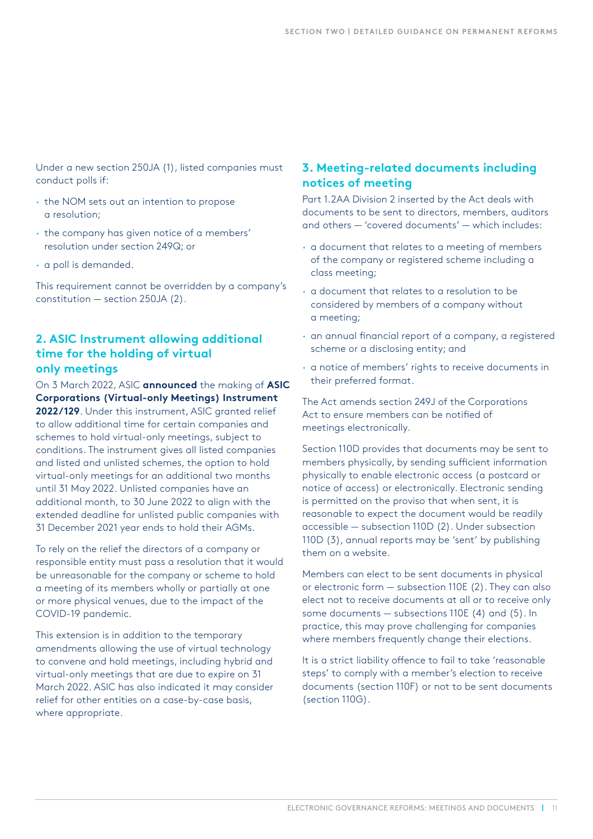<span id="page-10-0"></span>Under a new section 250JA (1), listed companies must conduct polls if:

- **·** the NOM sets out an intention to propose a resolution;
- **·** the company has given notice of a members' resolution under section 249Q; or
- **·** a poll is demanded.

This requirement cannot be overridden by a company's constitution — section 250JA (2).

## **2. ASIC Instrument allowing additional time for the holding of virtual only meetings**

On 3 March 2022, ASIC **[announced](https://asic.gov.au/about-asic/news-centre/find-a-media-release/2022-releases/22-035mr-asic-allows-additional-time-for-holding-virtual-only-meetings/)** the making of **[ASIC](https://www.legislation.gov.au/Details/F2022L00242)  [Corporations \(Virtual-only Meetings\) Instrument](https://www.legislation.gov.au/Details/F2022L00242)**  [2022/129](https://www.legislation.gov.au/Details/F2022L00242). Under this instrument, ASIC granted relief to allow additional time for certain companies and schemes to hold virtual-only meetings, subject to conditions. The instrument gives all listed companies and listed and unlisted schemes, the option to hold virtual-only meetings for an additional two months until 31 May 2022. Unlisted companies have an additional month, to 30 June 2022 to align with the extended deadline for unlisted public companies with 31 December 2021 year ends to hold their AGMs.

To rely on the relief the directors of a company or responsible entity must pass a resolution that it would be unreasonable for the company or scheme to hold a meeting of its members wholly or partially at one or more physical venues, due to the impact of the COVID-19 pandemic.

This extension is in addition to the temporary amendments allowing the use of virtual technology to convene and hold meetings, including hybrid and virtual-only meetings that are due to expire on 31 March 2022. ASIC has also indicated it may consider relief for other entities on a case-by-case basis, where appropriate.

## **3. Meeting-related documents including notices of meeting**

Part 1.2AA Division 2 inserted by the Act deals with documents to be sent to directors, members, auditors and others — 'covered documents' — which includes:

- **·** a document that relates to a meeting of members of the company or registered scheme including a class meeting;
- **·** a document that relates to a resolution to be considered by members of a company without a meeting;
- **·** an annual financial report of a company, a registered scheme or a disclosing entity; and
- **·** a notice of members' rights to receive documents in their preferred format.

The Act amends section 249J of the Corporations Act to ensure members can be notified of meetings electronically.

Section 110D provides that documents may be sent to members physically, by sending sufficient information physically to enable electronic access (a postcard or notice of access) or electronically. Electronic sending is permitted on the proviso that when sent, it is reasonable to expect the document would be readily accessible — subsection 110D (2). Under subsection 110D (3), annual reports may be 'sent' by publishing them on a website.

Members can elect to be sent documents in physical or electronic form — subsection 110E (2). They can also elect not to receive documents at all or to receive only some documents — subsections 110E (4) and (5). In practice, this may prove challenging for companies where members frequently change their elections.

It is a strict liability offence to fail to take 'reasonable steps' to comply with a member's election to receive documents (section 110F) or not to be sent documents (section 110G).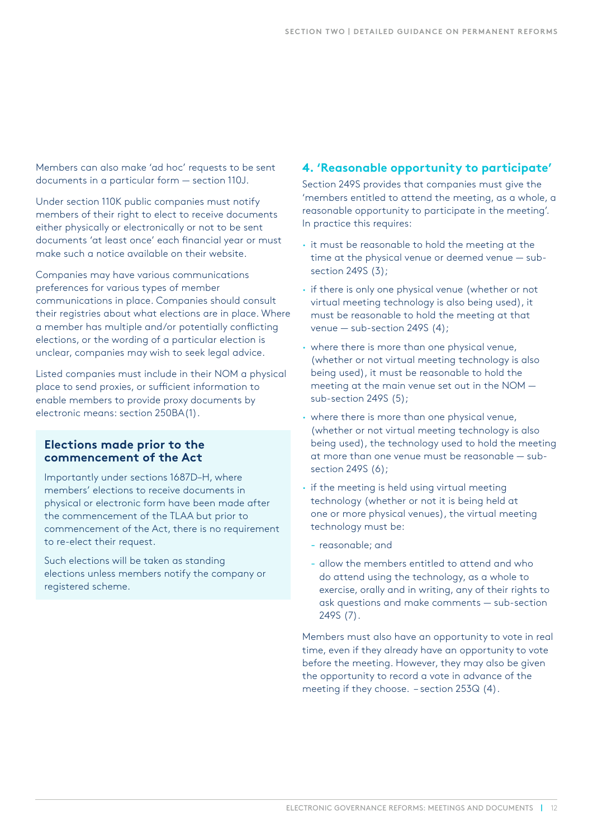<span id="page-11-0"></span>Members can also make 'ad hoc' requests to be sent documents in a particular form — section 110J.

Under section 110K public companies must notify members of their right to elect to receive documents either physically or electronically or not to be sent documents 'at least once' each financial year or must make such a notice available on their website.

Companies may have various communications preferences for various types of member communications in place. Companies should consult their registries about what elections are in place. Where a member has multiple and/or potentially conflicting elections, or the wording of a particular election is unclear, companies may wish to seek legal advice.

Listed companies must include in their NOM a physical place to send proxies, or sufficient information to enable members to provide proxy documents by electronic means: section 250BA(1).

#### **Elections made prior to the commencement of the Act**

Importantly under sections 1687D–H, where members' elections to receive documents in physical or electronic form have been made after the commencement of the TLAA but prior to commencement of the Act, there is no requirement to re-elect their request.

Such elections will be taken as standing elections unless members notify the company or registered scheme.

## **4. 'Reasonable opportunity to participate'**

Section 249S provides that companies must give the 'members entitled to attend the meeting, as a whole, a reasonable opportunity to participate in the meeting'. In practice this requires:

- **·** it must be reasonable to hold the meeting at the time at the physical venue or deemed venue — subsection 249S (3);
- **·** if there is only one physical venue (whether or not virtual meeting technology is also being used), it must be reasonable to hold the meeting at that venue — sub-section 249S (4);
- **·** where there is more than one physical venue, (whether or not virtual meeting technology is also being used), it must be reasonable to hold the meeting at the main venue set out in the NOM sub-section 249S (5);
- **·** where there is more than one physical venue, (whether or not virtual meeting technology is also being used), the technology used to hold the meeting at more than one venue must be reasonable — subsection 249S (6);
- **·** if the meeting is held using virtual meeting technology (whether or not it is being held at one or more physical venues), the virtual meeting technology must be:
	- reasonable; and
	- allow the members entitled to attend and who do attend using the technology, as a whole to exercise, orally and in writing, any of their rights to ask questions and make comments — sub-section 249S (7).

Members must also have an opportunity to vote in real time, even if they already have an opportunity to vote before the meeting. However, they may also be given the opportunity to record a vote in advance of the meeting if they choose. – section 253Q (4).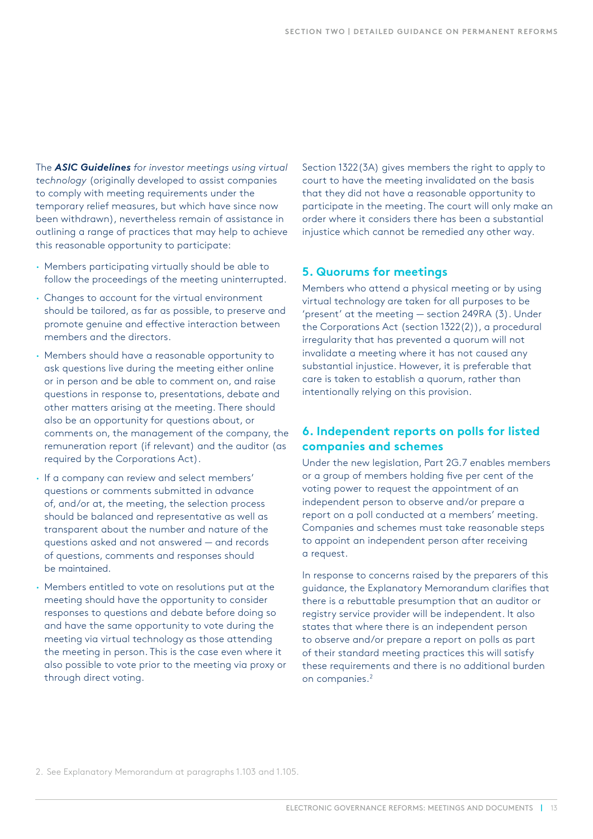<span id="page-12-0"></span>The *[ASIC Guidelines](https://asic.gov.au/about-asic/news-centre/news-items/asic-guidelines-for-investor-meetings-using-virtual-technology/) for investor meetings using virtual technology* (originally developed to assist companies to comply with meeting requirements under the temporary relief measures, but which have since now been withdrawn), nevertheless remain of assistance in outlining a range of practices that may help to achieve this reasonable opportunity to participate:

- **·** Members participating virtually should be able to follow the proceedings of the meeting uninterrupted.
- **·** Changes to account for the virtual environment should be tailored, as far as possible, to preserve and promote genuine and effective interaction between members and the directors.
- **·** Members should have a reasonable opportunity to ask questions live during the meeting either online or in person and be able to comment on, and raise questions in response to, presentations, debate and other matters arising at the meeting. There should also be an opportunity for questions about, or comments on, the management of the company, the remuneration report (if relevant) and the auditor (as required by the Corporations Act).
- **·** If a company can review and select members' questions or comments submitted in advance of, and/or at, the meeting, the selection process should be balanced and representative as well as transparent about the number and nature of the questions asked and not answered — and records of questions, comments and responses should be maintained.
- **·** Members entitled to vote on resolutions put at the meeting should have the opportunity to consider responses to questions and debate before doing so and have the same opportunity to vote during the meeting via virtual technology as those attending the meeting in person. This is the case even where it also possible to vote prior to the meeting via proxy or through direct voting.

Section 1322(3A) gives members the right to apply to court to have the meeting invalidated on the basis that they did not have a reasonable opportunity to participate in the meeting. The court will only make an order where it considers there has been a substantial injustice which cannot be remedied any other way.

### **5. Quorums for meetings**

Members who attend a physical meeting or by using virtual technology are taken for all purposes to be 'present' at the meeting — section 249RA (3). Under the Corporations Act (section 1322(2)), a procedural irregularity that has prevented a quorum will not invalidate a meeting where it has not caused any substantial injustice. However, it is preferable that care is taken to establish a quorum, rather than intentionally relying on this provision.

## **6. Independent reports on polls for listed companies and schemes**

Under the new legislation, Part 2G.7 enables members or a group of members holding five per cent of the voting power to request the appointment of an independent person to observe and/or prepare a report on a poll conducted at a members' meeting. Companies and schemes must take reasonable steps to appoint an independent person after receiving a request.

In response to concerns raised by the preparers of this guidance, the Explanatory Memorandum clarifies that there is a rebuttable presumption that an auditor or registry service provider will be independent. It also states that where there is an independent person to observe and/or prepare a report on polls as part of their standard meeting practices this will satisfy these requirements and there is no additional burden on companies.<sup>2</sup>

2. See Explanatory Memorandum at paragraphs 1.103 and 1.105.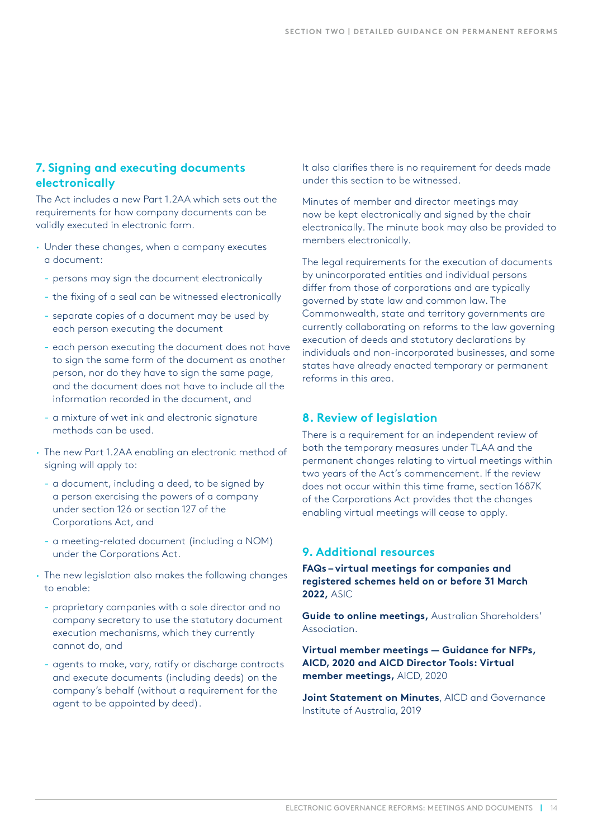## <span id="page-13-0"></span>**7. Signing and executing documents electronically**

The Act includes a new Part 1.2AA which sets out the requirements for how company documents can be validly executed in electronic form.

- **·** Under these changes, when a company executes a document:
	- persons may sign the document electronically
	- the fixing of a seal can be witnessed electronically
	- separate copies of a document may be used by each person executing the document
	- each person executing the document does not have to sign the same form of the document as another person, nor do they have to sign the same page, and the document does not have to include all the information recorded in the document, and
	- a mixture of wet ink and electronic signature methods can be used.
- **·** The new Part 1.2AA enabling an electronic method of signing will apply to:
	- a document, including a deed, to be signed by a person exercising the powers of a company under section 126 or section 127 of the Corporations Act, and
	- a meeting-related document (including a NOM) under the Corporations Act.
- **·** The new legislation also makes the following changes to enable:
	- proprietary companies with a sole director and no company secretary to use the statutory document execution mechanisms, which they currently cannot do, and
	- agents to make, vary, ratify or discharge contracts and execute documents (including deeds) on the company's behalf (without a requirement for the agent to be appointed by deed).

It also clarifies there is no requirement for deeds made under this section to be witnessed.

Minutes of member and director meetings may now be kept electronically and signed by the chair electronically. The minute book may also be provided to members electronically.

The legal requirements for the execution of documents by unincorporated entities and individual persons differ from those of corporations and are typically governed by state law and common law. The Commonwealth, state and territory governments are currently collaborating on reforms to the law governing execution of deeds and statutory declarations by individuals and non-incorporated businesses, and some states have already enacted temporary or permanent reforms in this area.

## **8. Review of legislation**

There is a requirement for an independent review of both the temporary measures under TLAA and the permanent changes relating to virtual meetings within two years of the Act's commencement. If the review does not occur within this time frame, section 1687K of the Corporations Act provides that the changes enabling virtual meetings will cease to apply.

## **9. Additional resources**

**[FAQs – virtual meetings for companies and](https://asic.gov.au/regulatory-resources/corporate-governance/shareholder-engagement/faqs-virtual-meetings-for-companies-and-registered-schemes-held-on-or-before-31-march-2022/)  [registered schemes held on or before 31 March](https://asic.gov.au/regulatory-resources/corporate-governance/shareholder-engagement/faqs-virtual-meetings-for-companies-and-registered-schemes-held-on-or-before-31-march-2022/)  [2022,](https://asic.gov.au/regulatory-resources/corporate-governance/shareholder-engagement/faqs-virtual-meetings-for-companies-and-registered-schemes-held-on-or-before-31-march-2022/)** ASIC

**[Guide to online meetings,](https://www.australianshareholders.com.au/common/Uploaded%20files/Advocacy/Guide_Online_Meetings_Final.pdf)** Australian Shareholders' Association.

**[Virtual member meetings — Guidance for NFPs,](https://aicd.companydirectors.com.au/membership/membership-update/virtual-member-meetings-guidance-for-nfps)  AICD, 2020 and [AICD Director Tools: Virtual](https://aicd.companydirectors.com.au/resources/covid-19/virtual-member-meetings) [member meetings,](https://aicd.companydirectors.com.au/resources/covid-19/virtual-member-meetings)** AICD, 2020

**[Joint Statement on Minutes](https://aicd.companydirectors.com.au/-/media/cd2/resources/advocacy/research/2019/pdf/govinst-aicd-minutes-project-july-2019-final-v2.ashx)**, AICD and Governance Institute of Australia, 2019